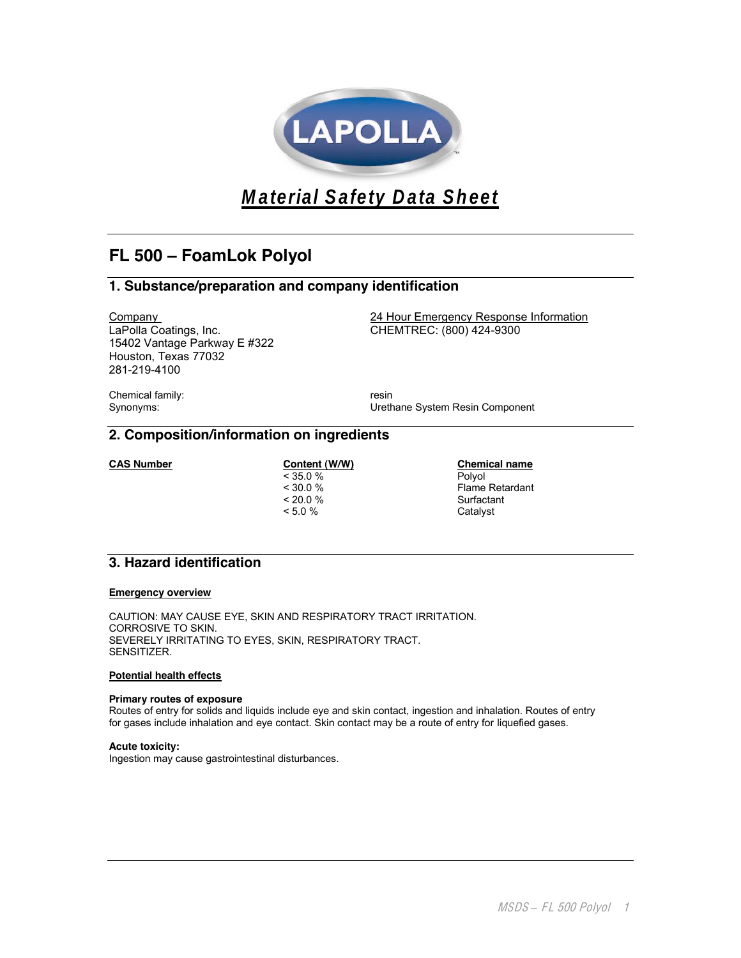

**Material Safety Data Sheet**

# **FL 500 – FoamLok Polyol**

# **1. Substance/preparation and company identification**

LaPolla Coatings, Inc. CHEMTREC: (800) 424-9300 15402 Vantage Parkway E #322 Houston, Texas 77032 281-219-4100

Company 24 Hour Emergency Response Information

Chemical family: The contract of the contract of the contract of the contract of the contract of the contract of the contract of the contract of the contract of the contract of the contract of the contract of the contract

Synonyms: Urethane System Resin Component

# **2. Composition/information on ingredients**

 $< 35.0 %$ version of the set of the Surfactant Surfactant Surfactant Surfactant Surfactant Surfactant Surfactant Surfactant Surfactant Surfactant Surfactant Surfactant Surfactant Surfactant Surfactant Surfactant Surfactant Surfactan

**CAS Number Content (W/W) Chemical name**<br>  $\leq 35.0 %$  **Chemical name**<br>  $\leq 35.0 %$ < 30.0 % Flame Retardant Catalyst

# **3. Hazard identification**

#### **Emergency overview**

CAUTION: MAY CAUSE EYE, SKIN AND RESPIRATORY TRACT IRRITATION. CORROSIVE TO SKIN. SEVERELY IRRITATING TO EYES, SKIN, RESPIRATORY TRACT. SENSITIZER.

#### **Potential health effects**

### **Primary routes of exposure**

Routes of entry for solids and liquids include eye and skin contact, ingestion and inhalation. Routes of entry for gases include inhalation and eye contact. Skin contact may be a route of entry for liquefied gases.

**Acute toxicity:**

Ingestion may cause gastrointestinal disturbances.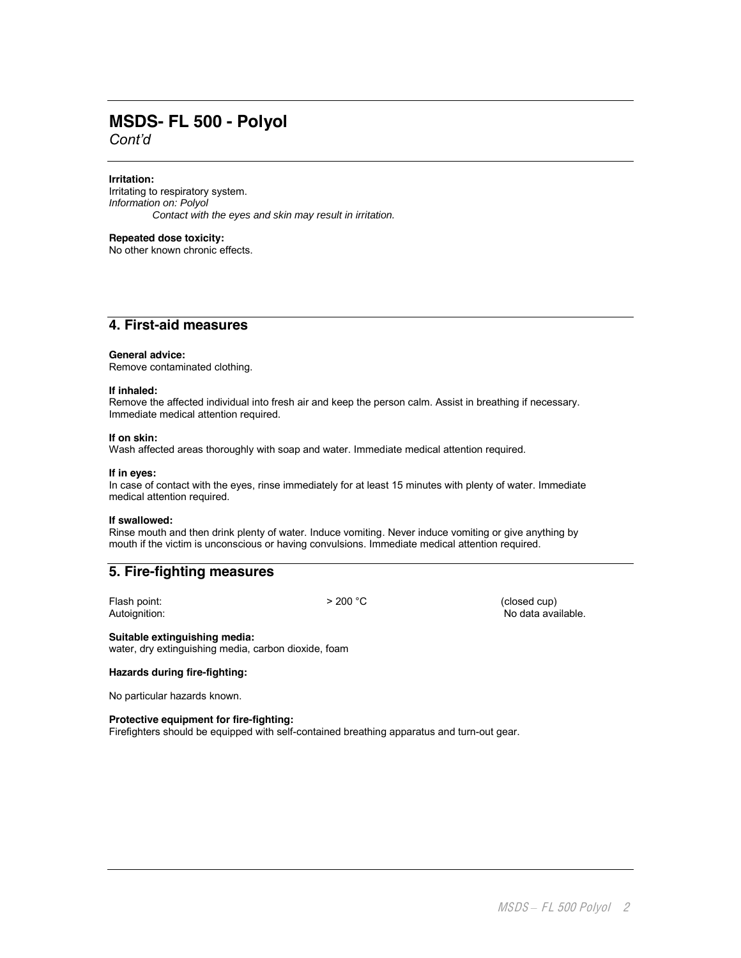# **MSDS- FL 500 - Polyol** *Cont'd*

**Irritation:**

Irritating to respiratory system. Information on: Polyol Contact with the eyes and skin may result in irritation.

**Repeated dose toxicity:**

No other known chronic effects.

# **4. First-aid measures**

#### **General advice:**

Remove contaminated clothing.

#### **If inhaled:**

Remove the affected individual into fresh air and keep the person calm. Assist in breathing if necessary. Immediate medical attention required.

#### **If on skin:**

Wash affected areas thoroughly with soap and water. Immediate medical attention required.

#### **If in eyes:**

In case of contact with the eyes, rinse immediately for at least 15 minutes with plenty of water. Immediate medical attention required.

#### **If swallowed:**

Rinse mouth and then drink plenty of water. Induce vomiting. Never induce vomiting or give anything by mouth if the victim is unconscious or having convulsions. Immediate medical attention required.

## **5. Fire-fighting measures**

Flash point:  $> 200 °C$  (closed cup)<br>Autoignition: No data ava No data available.

**Suitable extinguishing media:** water, dry extinguishing media, carbon dioxide, foam

#### **Hazards during fire-fighting:**

No particular hazards known.

#### **Protective equipment for fire-fighting:**

Firefighters should be equipped with self-contained breathing apparatus and turn-out gear.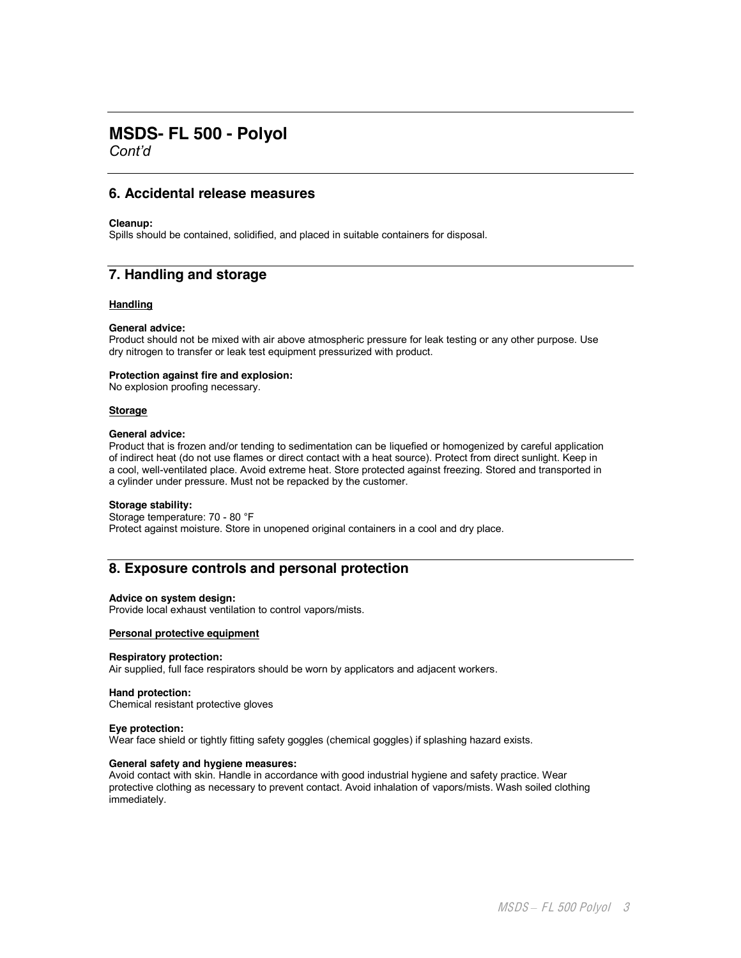# **MSDS- FL 500 - Polyol**

*Cont'd*

# **6. Accidental release measures**

#### **Cleanup:**

Spills should be contained, solidified, and placed in suitable containers for disposal.

# **7. Handling and storage**

#### **Handling**

#### **General advice:**

Product should not be mixed with air above atmospheric pressure for leak testing or any other purpose. Use dry nitrogen to transfer or leak test equipment pressurized with product.

#### **Protection against fire and explosion:**

No explosion proofing necessary.

#### **Storage**

#### **General advice:**

Product that is frozen and/or tending to sedimentation can be liquefied or homogenized by careful application of indirect heat (do not use flames or direct contact with a heat source). Protect from direct sunlight. Keep in a cool, well-ventilated place. Avoid extreme heat. Store protected against freezing. Stored and transported in a cylinder under pressure. Must not be repacked by the customer.

#### **Storage stability:**

Storage temperature: 70 - 80 °F Protect against moisture. Store in unopened original containers in a cool and dry place.

# **8. Exposure controls and personal protection**

#### **Advice on system design:**

Provide local exhaust ventilation to control vapors/mists.

### **Personal protective equipment**

#### **Respiratory protection:**

Air supplied, full face respirators should be worn by applicators and adjacent workers.

#### **Hand protection:**

Chemical resistant protective gloves

#### **Eye protection:**

Wear face shield or tightly fitting safety goggles (chemical goggles) if splashing hazard exists.

#### **General safety and hygiene measures:**

Avoid contact with skin. Handle in accordance with good industrial hygiene and safety practice. Wear protective clothing as necessary to prevent contact. Avoid inhalation of vapors/mists. Wash soiled clothing immediately.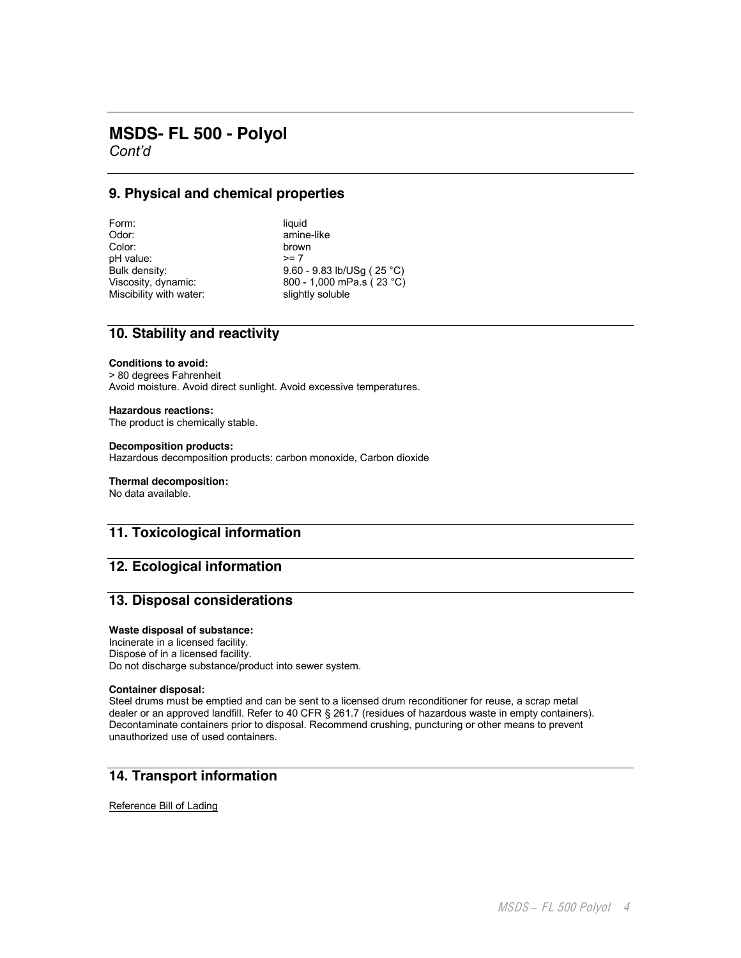# **MSDS- FL 500 - Polyol**

*Cont'd*

# **9. Physical and chemical properties**

Form: liquid<br>Odor: liquid amine Odor: amine-like amine-like color: pH value: Miscibility with water:

brown<br> $>= 7$ Bulk density: 9.60 - 9.83 lb/USg ( 25 °C)<br>Viscosity, dynamic: 800 - 1,000 mPa.s ( 23 °C) 800 - 1,000 mPa.s ( 23 °C)<br>slightly soluble

# **10. Stability and reactivity**

#### **Conditions to avoid:**

> 80 degrees Fahrenheit Avoid moisture. Avoid direct sunlight. Avoid excessive temperatures.

#### **Hazardous reactions:**

The product is chemically stable.

#### **Decomposition products:**

Hazardous decomposition products: carbon monoxide, Carbon dioxide

#### **Thermal decomposition:**

No data available.

# **11. Toxicological information**

# **12. Ecological information**

# **13. Disposal considerations**

#### **Waste disposal of substance:**

Incinerate in a licensed facility. Dispose of in a licensed facility. Do not discharge substance/product into sewer system.

#### **Container disposal:**

Steel drums must be emptied and can be sent to a licensed drum reconditioner for reuse, a scrap metal dealer or an approved landfill. Refer to 40 CFR § 261.7 (residues of hazardous waste in empty containers). Decontaminate containers prior to disposal. Recommend crushing, puncturing or other means to prevent unauthorized use of used containers.

# **14. Transport information**

Reference Bill of Lading